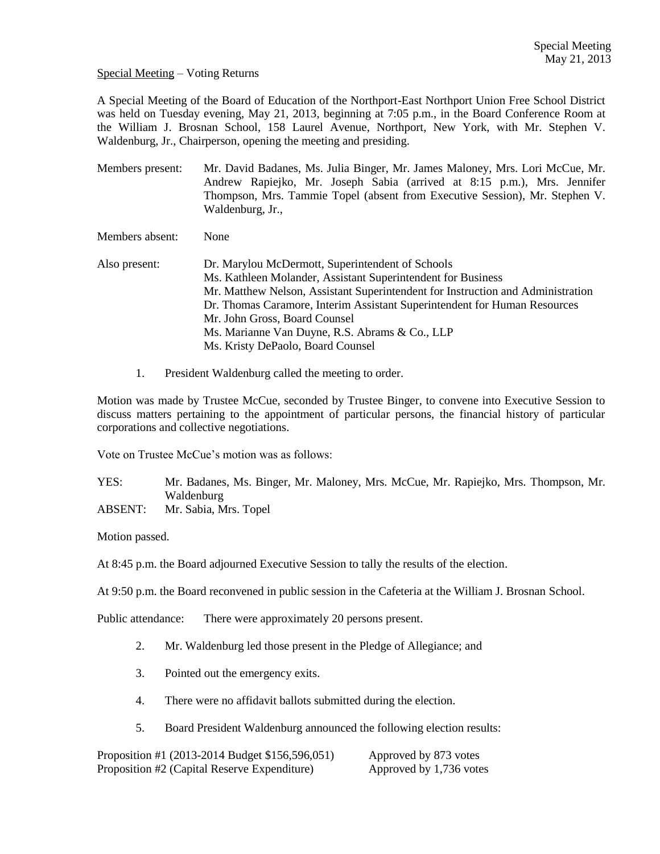Special Meeting – Voting Returns

A Special Meeting of the Board of Education of the Northport-East Northport Union Free School District was held on Tuesday evening, May 21, 2013, beginning at 7:05 p.m., in the Board Conference Room at the William J. Brosnan School, 158 Laurel Avenue, Northport, New York, with Mr. Stephen V. Waldenburg, Jr., Chairperson, opening the meeting and presiding.

Members present: Mr. David Badanes, Ms. Julia Binger, Mr. James Maloney, Mrs. Lori McCue, Mr. Andrew Rapiejko, Mr. Joseph Sabia (arrived at 8:15 p.m.), Mrs. Jennifer Thompson, Mrs. Tammie Topel (absent from Executive Session), Mr. Stephen V. Waldenburg, Jr.,

Members absent: None

- Also present: Dr. Marylou McDermott, Superintendent of Schools Ms. Kathleen Molander, Assistant Superintendent for Business Mr. Matthew Nelson, Assistant Superintendent for Instruction and Administration Dr. Thomas Caramore, Interim Assistant Superintendent for Human Resources Mr. John Gross, Board Counsel Ms. Marianne Van Duyne, R.S. Abrams & Co., LLP Ms. Kristy DePaolo, Board Counsel
	- 1. President Waldenburg called the meeting to order.

Motion was made by Trustee McCue, seconded by Trustee Binger, to convene into Executive Session to discuss matters pertaining to the appointment of particular persons, the financial history of particular corporations and collective negotiations.

Vote on Trustee McCue's motion was as follows:

YES: Mr. Badanes, Ms. Binger, Mr. Maloney, Mrs. McCue, Mr. Rapiejko, Mrs. Thompson, Mr. Waldenburg ABSENT: Mr. Sabia, Mrs. Topel

Motion passed.

At 8:45 p.m. the Board adjourned Executive Session to tally the results of the election.

At 9:50 p.m. the Board reconvened in public session in the Cafeteria at the William J. Brosnan School.

Public attendance: There were approximately 20 persons present.

- 2. Mr. Waldenburg led those present in the Pledge of Allegiance; and
- 3. Pointed out the emergency exits.
- 4. There were no affidavit ballots submitted during the election.
- 5. Board President Waldenburg announced the following election results:

Proposition #1 (2013-2014 Budget \$156,596,051) Approved by 873 votes Proposition #2 (Capital Reserve Expenditure) Approved by 1,736 votes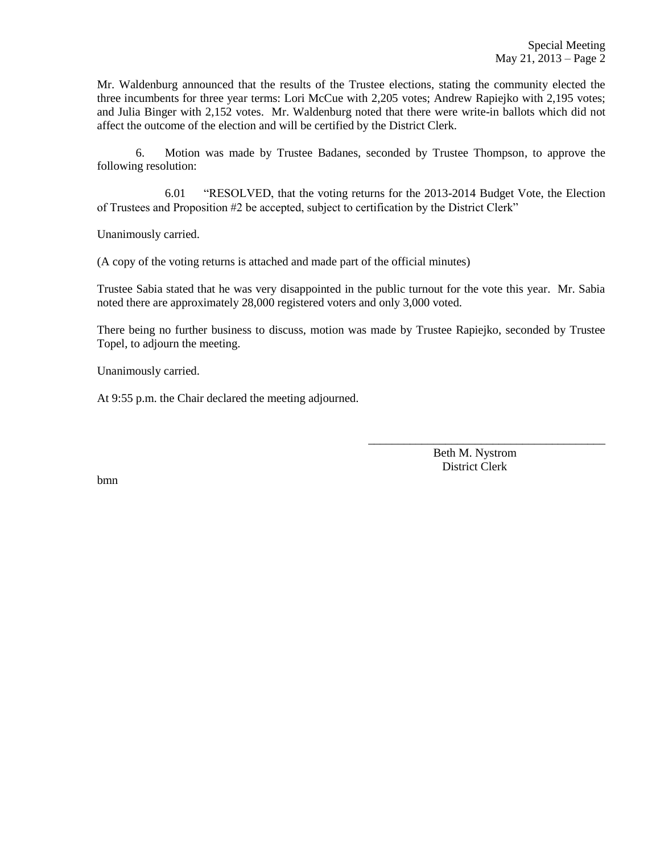Mr. Waldenburg announced that the results of the Trustee elections, stating the community elected the three incumbents for three year terms: Lori McCue with 2,205 votes; Andrew Rapiejko with 2,195 votes; and Julia Binger with 2,152 votes. Mr. Waldenburg noted that there were write-in ballots which did not affect the outcome of the election and will be certified by the District Clerk.

6. Motion was made by Trustee Badanes, seconded by Trustee Thompson, to approve the following resolution:

6.01 "RESOLVED, that the voting returns for the 2013-2014 Budget Vote, the Election of Trustees and Proposition #2 be accepted, subject to certification by the District Clerk"

Unanimously carried.

(A copy of the voting returns is attached and made part of the official minutes)

Trustee Sabia stated that he was very disappointed in the public turnout for the vote this year. Mr. Sabia noted there are approximately 28,000 registered voters and only 3,000 voted.

There being no further business to discuss, motion was made by Trustee Rapiejko, seconded by Trustee Topel, to adjourn the meeting.

Unanimously carried.

At 9:55 p.m. the Chair declared the meeting adjourned.

 Beth M. Nystrom District Clerk

\_\_\_\_\_\_\_\_\_\_\_\_\_\_\_\_\_\_\_\_\_\_\_\_\_\_\_\_\_\_\_\_\_\_\_\_\_\_\_\_

bmn